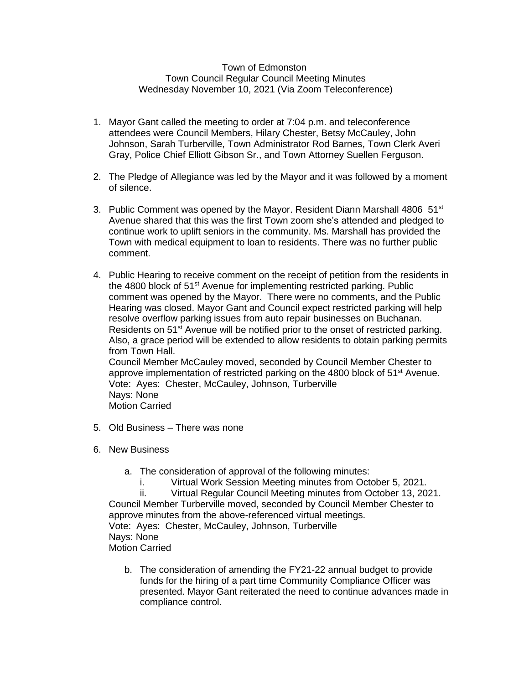## Town of Edmonston Town Council Regular Council Meeting Minutes Wednesday November 10, 2021 (Via Zoom Teleconference)

- 1. Mayor Gant called the meeting to order at 7:04 p.m. and teleconference attendees were Council Members, Hilary Chester, Betsy McCauley, John Johnson, Sarah Turberville, Town Administrator Rod Barnes, Town Clerk Averi Gray, Police Chief Elliott Gibson Sr., and Town Attorney Suellen Ferguson.
- 2. The Pledge of Allegiance was led by the Mayor and it was followed by a moment of silence.
- 3. Public Comment was opened by the Mayor. Resident Diann Marshall 4806  $51<sup>st</sup>$ Avenue shared that this was the first Town zoom she's attended and pledged to continue work to uplift seniors in the community. Ms. Marshall has provided the Town with medical equipment to loan to residents. There was no further public comment.
- 4. Public Hearing to receive comment on the receipt of petition from the residents in the 4800 block of 51<sup>st</sup> Avenue for implementing restricted parking. Public comment was opened by the Mayor. There were no comments, and the Public Hearing was closed. Mayor Gant and Council expect restricted parking will help resolve overflow parking issues from auto repair businesses on Buchanan. Residents on 51<sup>st</sup> Avenue will be notified prior to the onset of restricted parking. Also, a grace period will be extended to allow residents to obtain parking permits from Town Hall. Council Member McCauley moved, seconded by Council Member Chester to

approve implementation of restricted parking on the 4800 block of 51<sup>st</sup> Avenue. Vote: Ayes: Chester, McCauley, Johnson, Turberville Nays: None Motion Carried

- 5. Old Business There was none
- 6. New Business
	- a. The consideration of approval of the following minutes:
		- i. Virtual Work Session Meeting minutes from October 5, 2021.

ii. Virtual Regular Council Meeting minutes from October 13, 2021. Council Member Turberville moved, seconded by Council Member Chester to approve minutes from the above-referenced virtual meetings. Vote: Ayes: Chester, McCauley, Johnson, Turberville Nays: None Motion Carried

b. The consideration of amending the FY21-22 annual budget to provide funds for the hiring of a part time Community Compliance Officer was presented. Mayor Gant reiterated the need to continue advances made in compliance control.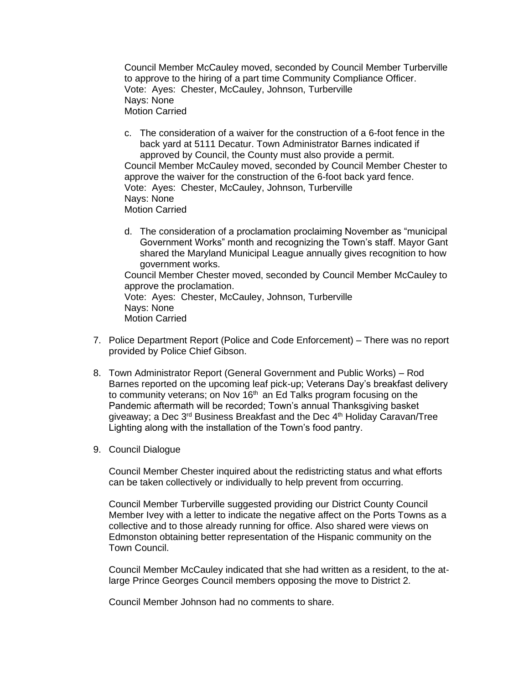Council Member McCauley moved, seconded by Council Member Turberville to approve to the hiring of a part time Community Compliance Officer. Vote: Ayes: Chester, McCauley, Johnson, Turberville Nays: None Motion Carried

c. The consideration of a waiver for the construction of a 6-foot fence in the back yard at 5111 Decatur. Town Administrator Barnes indicated if approved by Council, the County must also provide a permit. Council Member McCauley moved, seconded by Council Member Chester to approve the waiver for the construction of the 6-foot back yard fence.

Vote: Ayes: Chester, McCauley, Johnson, Turberville Nays: None

Motion Carried

d. The consideration of a proclamation proclaiming November as "municipal Government Works" month and recognizing the Town's staff. Mayor Gant shared the Maryland Municipal League annually gives recognition to how government works.

Council Member Chester moved, seconded by Council Member McCauley to approve the proclamation.

Vote: Ayes: Chester, McCauley, Johnson, Turberville Nays: None Motion Carried

- 7. Police Department Report (Police and Code Enforcement) There was no report provided by Police Chief Gibson.
- 8. Town Administrator Report (General Government and Public Works) Rod Barnes reported on the upcoming leaf pick-up; Veterans Day's breakfast delivery to community veterans; on Nov  $16<sup>th</sup>$  an Ed Talks program focusing on the Pandemic aftermath will be recorded; Town's annual Thanksgiving basket giveaway; a Dec  $3^{rd}$  Business Breakfast and the Dec  $4^{th}$  Holiday Caravan/Tree Lighting along with the installation of the Town's food pantry.
- 9. Council Dialogue

Council Member Chester inquired about the redistricting status and what efforts can be taken collectively or individually to help prevent from occurring.

Council Member Turberville suggested providing our District County Council Member Ivey with a letter to indicate the negative affect on the Ports Towns as a collective and to those already running for office. Also shared were views on Edmonston obtaining better representation of the Hispanic community on the Town Council.

Council Member McCauley indicated that she had written as a resident, to the atlarge Prince Georges Council members opposing the move to District 2.

Council Member Johnson had no comments to share.